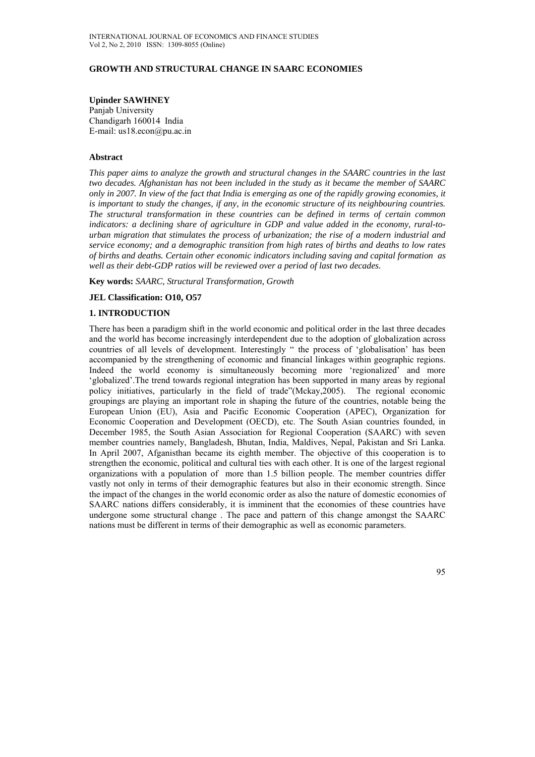### **GROWTH AND STRUCTURAL CHANGE IN SAARC ECONOMIES**

#### **Upinder SAWHNEY**

Panjab University Chandigarh 160014 India E-mail: us18.econ@pu.ac.in

#### **Abstract**

*This paper aims to analyze the growth and structural changes in the SAARC countries in the last two decades. Afghanistan has not been included in the study as it became the member of SAARC only in 2007. In view of the fact that India is emerging as one of the rapidly growing economies, it is important to study the changes, if any, in the economic structure of its neighbouring countries. The structural transformation in these countries can be defined in terms of certain common indicators: a declining share of agriculture in GDP and value added in the economy, rural-tourban migration that stimulates the process of urbanization; the rise of a modern industrial and service economy; and a demographic transition from high rates of births and deaths to low rates of births and deaths. Certain other economic indicators including saving and capital formation as well as their debt-GDP ratios will be reviewed over a period of last two decades.* 

**Key words:** *SAARC, Structural Transformation, Growth*

#### **JEL Classification: O10, O57**

#### **1. INTRODUCTION**

There has been a paradigm shift in the world economic and political order in the last three decades and the world has become increasingly interdependent due to the adoption of globalization across countries of all levels of development. Interestingly " the process of 'globalisation' has been accompanied by the strengthening of economic and financial linkages within geographic regions. Indeed the world economy is simultaneously becoming more 'regionalized' and more 'globalized'.The trend towards regional integration has been supported in many areas by regional policy initiatives, particularly in the field of trade"(Mckay,2005). The regional economic groupings are playing an important role in shaping the future of the countries, notable being the European Union (EU), Asia and Pacific Economic Cooperation (APEC), Organization for Economic Cooperation and Development (OECD), etc. The South Asian countries founded, in December 1985, the South Asian Association for Regional Cooperation (SAARC) with seven member countries namely, Bangladesh, Bhutan, India, Maldives, Nepal, Pakistan and Sri Lanka. In April 2007, Afganisthan became its eighth member. The objective of this cooperation is to strengthen the economic, political and cultural ties with each other. It is one of the largest regional organizations with a population of more than 1.5 billion people. The member countries differ vastly not only in terms of their demographic features but also in their economic strength. Since the impact of the changes in the world economic order as also the nature of domestic economies of SAARC nations differs considerably, it is imminent that the economies of these countries have undergone some structural change . The pace and pattern of this change amongst the SAARC nations must be different in terms of their demographic as well as economic parameters.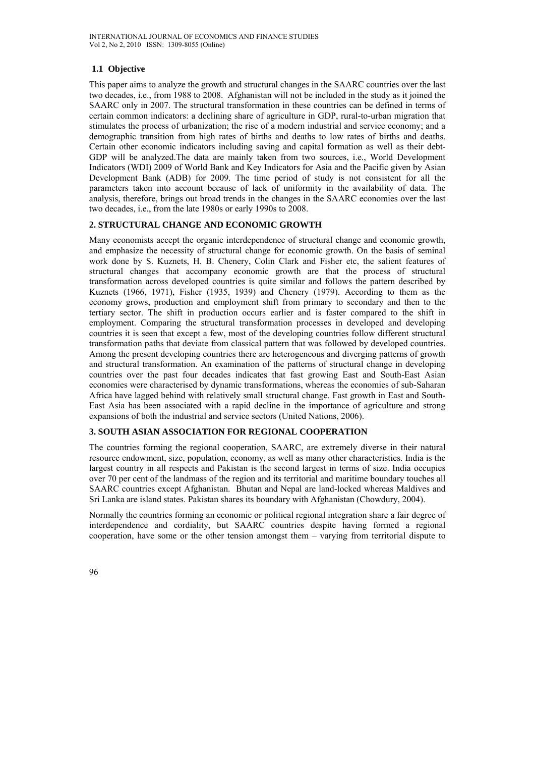# **1.1 Objective**

This paper aims to analyze the growth and structural changes in the SAARC countries over the last two decades, i.e., from 1988 to 2008. Afghanistan will not be included in the study as it joined the SAARC only in 2007. The structural transformation in these countries can be defined in terms of certain common indicators: a declining share of agriculture in GDP, rural-to-urban migration that stimulates the process of urbanization; the rise of a modern industrial and service economy; and a demographic transition from high rates of births and deaths to low rates of births and deaths. Certain other economic indicators including saving and capital formation as well as their debt-GDP will be analyzed.The data are mainly taken from two sources, i.e., World Development Indicators (WDI) 2009 of World Bank and Key Indicators for Asia and the Pacific given by Asian Development Bank (ADB) for 2009. The time period of study is not consistent for all the parameters taken into account because of lack of uniformity in the availability of data. The analysis, therefore, brings out broad trends in the changes in the SAARC economies over the last two decades, i.e., from the late 1980s or early 1990s to 2008.

### **2. STRUCTURAL CHANGE AND ECONOMIC GROWTH**

Many economists accept the organic interdependence of structural change and economic growth, and emphasize the necessity of structural change for economic growth. On the basis of seminal work done by S. Kuznets, H. B. Chenery, Colin Clark and Fisher etc, the salient features of structural changes that accompany economic growth are that the process of structural transformation across developed countries is quite similar and follows the pattern described by Kuznets (1966, 1971), Fisher (1935, 1939) and Chenery (1979). According to them as the economy grows, production and employment shift from primary to secondary and then to the tertiary sector. The shift in production occurs earlier and is faster compared to the shift in employment. Comparing the structural transformation processes in developed and developing countries it is seen that except a few, most of the developing countries follow different structural transformation paths that deviate from classical pattern that was followed by developed countries. Among the present developing countries there are heterogeneous and diverging patterns of growth and structural transformation. An examination of the patterns of structural change in developing countries over the past four decades indicates that fast growing East and South-East Asian economies were characterised by dynamic transformations, whereas the economies of sub-Saharan Africa have lagged behind with relatively small structural change. Fast growth in East and South-East Asia has been associated with a rapid decline in the importance of agriculture and strong expansions of both the industrial and service sectors (United Nations, 2006).

## **3. SOUTH ASIAN ASSOCIATION FOR REGIONAL COOPERATION**

The countries forming the regional cooperation, SAARC, are extremely diverse in their natural resource endowment, size, population, economy, as well as many other characteristics. India is the largest country in all respects and Pakistan is the second largest in terms of size. India occupies over 70 per cent of the landmass of the region and its territorial and maritime boundary touches all SAARC countries except Afghanistan. Bhutan and Nepal are land-locked whereas Maldives and Sri Lanka are island states. Pakistan shares its boundary with Afghanistan (Chowdury, 2004).

Normally the countries forming an economic or political regional integration share a fair degree of interdependence and cordiality, but SAARC countries despite having formed a regional cooperation, have some or the other tension amongst them – varying from territorial dispute to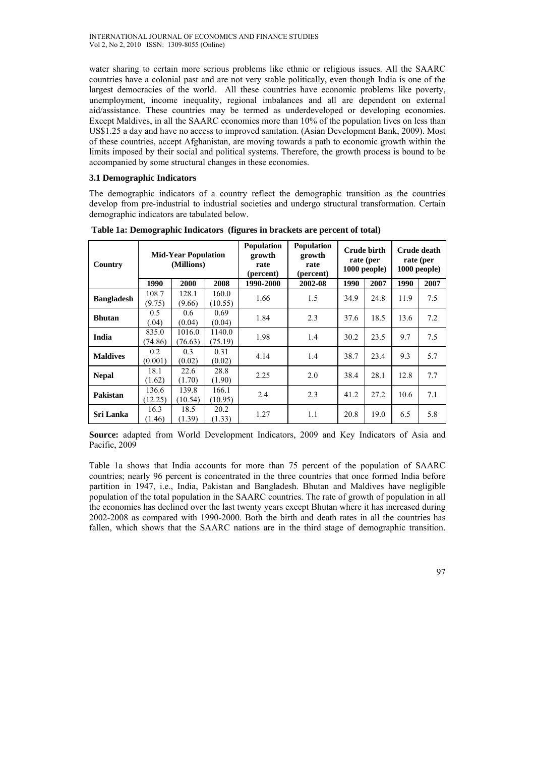water sharing to certain more serious problems like ethnic or religious issues. All the SAARC countries have a colonial past and are not very stable politically, even though India is one of the largest democracies of the world. All these countries have economic problems like poverty, unemployment, income inequality, regional imbalances and all are dependent on external aid/assistance. These countries may be termed as underdeveloped or developing economies. Except Maldives, in all the SAARC economies more than 10% of the population lives on less than US\$1.25 a day and have no access to improved sanitation. (Asian Development Bank, 2009). Most of these countries, accept Afghanistan, are moving towards a path to economic growth within the limits imposed by their social and political systems. Therefore, the growth process is bound to be accompanied by some structural changes in these economies.

## **3.1 Demographic Indicators**

The demographic indicators of a country reflect the demographic transition as the countries develop from pre-industrial to industrial societies and undergo structural transformation. Certain demographic indicators are tabulated below.

| Country           | <b>Mid-Year Population</b><br>(Millions) |                   |                   | <b>Population</b><br><b>Population</b><br>growth<br>growth<br>rate<br>rate<br>(percent)<br>(percent) |         | Crude birth<br>rate (per<br>$1000$ people) |      | Crude death<br>rate (per<br>$1000$ people) |      |
|-------------------|------------------------------------------|-------------------|-------------------|------------------------------------------------------------------------------------------------------|---------|--------------------------------------------|------|--------------------------------------------|------|
|                   | 1990                                     | 2000              | 2008              | 1990-2000                                                                                            | 2002-08 | 1990                                       | 2007 | 1990                                       | 2007 |
| <b>Bangladesh</b> | 108.7<br>(9.75)                          | 128.1<br>(9.66)   | 160.0<br>(10.55)  | 1.66                                                                                                 | 1.5     | 34.9                                       | 24.8 | 11.9                                       | 7.5  |
| <b>Bhutan</b>     | 0.5<br>(.04)                             | 0.6<br>(0.04)     | 0.69<br>(0.04)    | 1.84                                                                                                 | 2.3     | 37.6                                       | 18.5 | 13.6                                       | 7.2  |
| India             | 835.0<br>(74.86)                         | 1016.0<br>(76.63) | 1140.0<br>(75.19) | 1.98                                                                                                 | 1.4     | 30.2                                       | 23.5 | 9.7                                        | 7.5  |
| <b>Maldives</b>   | 0.2<br>(0.001)                           | 0.3<br>(0.02)     | 0.31<br>(0.02)    | 4.14                                                                                                 | 1.4     | 38.7                                       | 23.4 | 9.3                                        | 5.7  |
| <b>Nepal</b>      | 18.1<br>(1.62)                           | 22.6<br>(1.70)    | 28.8<br>(1.90)    | 2.25                                                                                                 | 2.0     | 38.4                                       | 28.1 | 12.8                                       | 7.7  |
| Pakistan          | 136.6<br>(12.25)                         | 139.8<br>(10.54)  | 166.1<br>(10.95)  | 2.4                                                                                                  | 2.3     | 41.2                                       | 27.2 | 10.6                                       | 7.1  |
| Sri Lanka         | 16.3<br>(1.46)                           | 18.5<br>(1.39)    | 20.2<br>(1.33)    | 1.27                                                                                                 | 1.1     | 20.8                                       | 19.0 | 6.5                                        | 5.8  |

 **Table 1a: Demographic Indicators (figures in brackets are percent of total)** 

**Source:** adapted from World Development Indicators, 2009 and Key Indicators of Asia and Pacific, 2009

Table 1a shows that India accounts for more than 75 percent of the population of SAARC countries; nearly 96 percent is concentrated in the three countries that once formed India before partition in 1947, i.e., India, Pakistan and Bangladesh. Bhutan and Maldives have negligible population of the total population in the SAARC countries. The rate of growth of population in all the economies has declined over the last twenty years except Bhutan where it has increased during 2002-2008 as compared with 1990-2000. Both the birth and death rates in all the countries has fallen, which shows that the SAARC nations are in the third stage of demographic transition.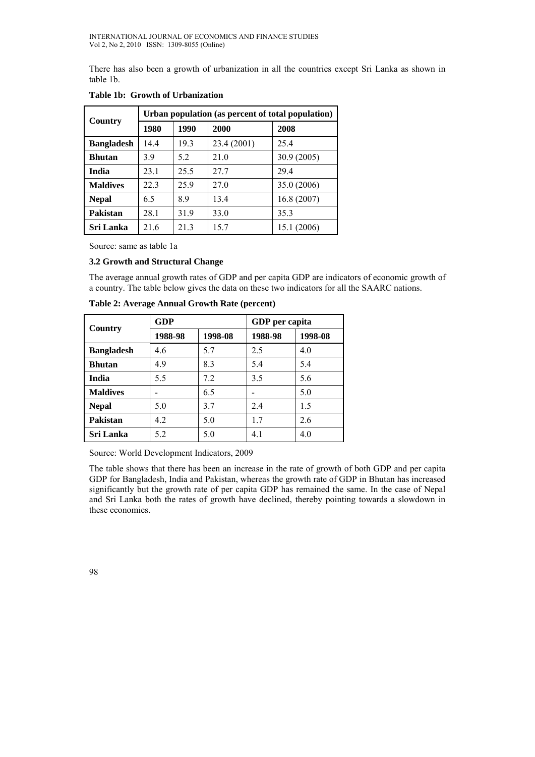There has also been a growth of urbanization in all the countries except Sri Lanka as shown in table 1b.

| Country           | Urban population (as percent of total population) |      |             |             |  |  |  |
|-------------------|---------------------------------------------------|------|-------------|-------------|--|--|--|
|                   | 1980                                              | 1990 | 2000        | 2008        |  |  |  |
| <b>Bangladesh</b> | 14.4                                              | 19.3 | 23.4 (2001) | 25.4        |  |  |  |
| <b>Bhutan</b>     | 3.9                                               | 5.2  | 21.0        | 30.9(2005)  |  |  |  |
| <b>India</b>      | 23.1                                              | 25.5 | 27.7        | 29.4        |  |  |  |
| <b>Maldives</b>   | 22.3                                              | 25.9 | 27.0        | 35.0 (2006) |  |  |  |
| <b>Nepal</b>      | 65                                                | 89   | 13.4        | 16.8 (2007) |  |  |  |
| Pakistan          | 28.1                                              | 31.9 | 33.0        | 35.3        |  |  |  |
| Sri Lanka         | 21.6                                              | 21.3 | 15.7        | 15.1 (2006) |  |  |  |

**Table 1b: Growth of Urbanization** 

Source: same as table 1a

### **3.2 Growth and Structural Change**

The average annual growth rates of GDP and per capita GDP are indicators of economic growth of a country. The table below gives the data on these two indicators for all the SAARC nations.

| Country           | GDP     |         | GDP per capita |         |  |  |
|-------------------|---------|---------|----------------|---------|--|--|
|                   | 1988-98 | 1998-08 | 1988-98        | 1998-08 |  |  |
| <b>Bangladesh</b> | 4.6     | 5.7     | 2.5            | 4.0     |  |  |
| <b>Bhutan</b>     | 4.9     | 8.3     | 5.4            | 5.4     |  |  |
| <b>India</b>      | 5.5     | 7.2     | 3.5            | 5.6     |  |  |
| <b>Maldives</b>   |         | 6.5     |                | 5.0     |  |  |
| <b>Nepal</b>      | 5.0     | 3.7     | 2.4            | 1.5     |  |  |
| Pakistan          | 4.2     | 5.0     | 1.7            | 2.6     |  |  |
| <b>Sri Lanka</b>  | 5.2     | 5.0     | 4.1            | 4.0     |  |  |

**Table 2: Average Annual Growth Rate (percent)** 

Source: World Development Indicators, 2009

The table shows that there has been an increase in the rate of growth of both GDP and per capita GDP for Bangladesh, India and Pakistan, whereas the growth rate of GDP in Bhutan has increased significantly but the growth rate of per capita GDP has remained the same. In the case of Nepal and Sri Lanka both the rates of growth have declined, thereby pointing towards a slowdown in these economies.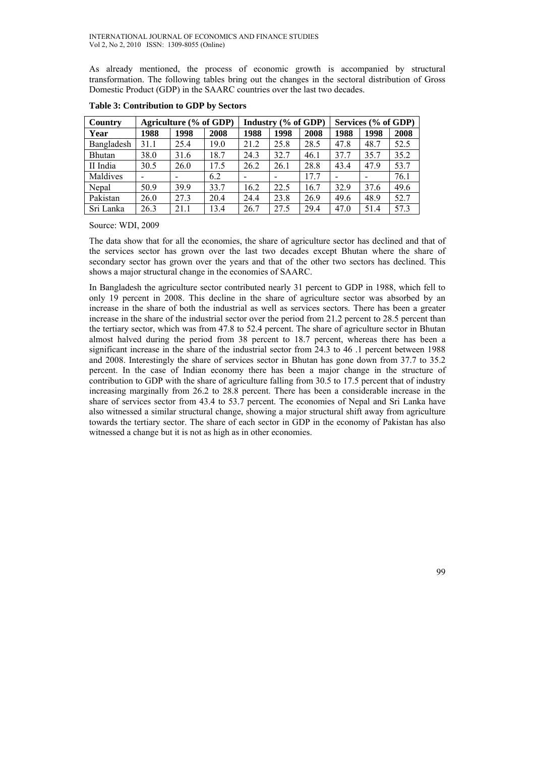As already mentioned, the process of economic growth is accompanied by structural transformation. The following tables bring out the changes in the sectoral distribution of Gross Domestic Product (GDP) in the SAARC countries over the last two decades.

| Country    |      | Agriculture (% of GDP) |      | Industry (% of GDP) |      |      | Services (% of GDP) |      |      |
|------------|------|------------------------|------|---------------------|------|------|---------------------|------|------|
| Year       | 1988 | 1998                   | 2008 | 1988                | 1998 | 2008 | 1988                | 1998 | 2008 |
| Bangladesh | 31.1 | 25.4                   | 19.0 | 21.2                | 25.8 | 28.5 | 47.8                | 48.7 | 52.5 |
| Bhutan     | 38.0 | 31.6                   | 18.7 | 24.3                | 32.7 | 46.1 | 37.7                | 35.7 | 35.2 |
| II India   | 30.5 | 26.0                   | 17.5 | 26.2                | 26.1 | 28.8 | 43.4                | 47.9 | 53.7 |
| Maldives   |      |                        | 6.2  |                     |      | 17.7 |                     |      | 76.1 |
| Nepal      | 50.9 | 39.9                   | 33.7 | 16.2                | 22.5 | 16.7 | 32.9                | 37.6 | 49.6 |
| Pakistan   | 26.0 | 27.3                   | 20.4 | 24.4                | 23.8 | 26.9 | 49.6                | 48.9 | 52.7 |
| Sri Lanka  | 26.3 | 21.1                   | 13.4 | 26.7                | 27.5 | 29.4 | 47.0                | 51.4 | 57.3 |

**Table 3: Contribution to GDP by Sectors** 

Source: WDI, 2009

The data show that for all the economies, the share of agriculture sector has declined and that of the services sector has grown over the last two decades except Bhutan where the share of secondary sector has grown over the years and that of the other two sectors has declined. This shows a major structural change in the economies of SAARC.

In Bangladesh the agriculture sector contributed nearly 31 percent to GDP in 1988, which fell to only 19 percent in 2008. This decline in the share of agriculture sector was absorbed by an increase in the share of both the industrial as well as services sectors. There has been a greater increase in the share of the industrial sector over the period from 21.2 percent to 28.5 percent than the tertiary sector, which was from 47.8 to 52.4 percent. The share of agriculture sector in Bhutan almost halved during the period from 38 percent to 18.7 percent, whereas there has been a significant increase in the share of the industrial sector from 24.3 to 46 .1 percent between 1988 and 2008. Interestingly the share of services sector in Bhutan has gone down from 37.7 to 35.2 percent. In the case of Indian economy there has been a major change in the structure of contribution to GDP with the share of agriculture falling from 30.5 to 17.5 percent that of industry increasing marginally from 26.2 to 28.8 percent. There has been a considerable increase in the share of services sector from 43.4 to 53.7 percent. The economies of Nepal and Sri Lanka have also witnessed a similar structural change, showing a major structural shift away from agriculture towards the tertiary sector. The share of each sector in GDP in the economy of Pakistan has also witnessed a change but it is not as high as in other economies.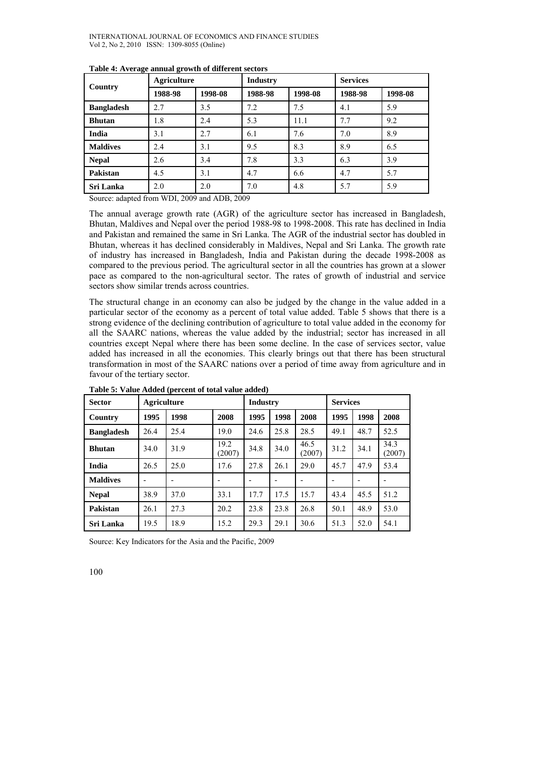| Country           | <b>Agriculture</b> |         | <b>Industry</b> |         | <b>Services</b> |         |  |
|-------------------|--------------------|---------|-----------------|---------|-----------------|---------|--|
|                   | 1988-98            | 1998-08 | 1988-98         | 1998-08 | 1988-98         | 1998-08 |  |
| <b>Bangladesh</b> | 2.7                | 3.5     | 7.2             | 7.5     | 4.1             | 5.9     |  |
| <b>Bhutan</b>     | 1.8                | 2.4     | 5.3             | 11.1    | 7.7             | 9.2     |  |
| India             | 3.1                | 2.7     | 6.1             | 7.6     | 7.0             | 8.9     |  |
| <b>Maldives</b>   | 2.4                | 3.1     | 9.5             | 8.3     | 8.9             | 6.5     |  |
| <b>Nepal</b>      | 2.6                | 3.4     | 7.8             | 3.3     | 6.3             | 3.9     |  |
| Pakistan          | 4.5                | 3.1     | 4.7             | 6.6     | 4.7             | 5.7     |  |
| Sri Lanka         | 2.0                | 2.0     | 7.0             | 4.8     | 5.7             | 5.9     |  |

#### **Table 4: Average annual growth of different sectors**

Source: adapted from WDI, 2009 and ADB, 2009

The annual average growth rate (AGR) of the agriculture sector has increased in Bangladesh, Bhutan, Maldives and Nepal over the period 1988-98 to 1998-2008. This rate has declined in India and Pakistan and remained the same in Sri Lanka. The AGR of the industrial sector has doubled in Bhutan, whereas it has declined considerably in Maldives, Nepal and Sri Lanka. The growth rate of industry has increased in Bangladesh, India and Pakistan during the decade 1998-2008 as compared to the previous period. The agricultural sector in all the countries has grown at a slower pace as compared to the non-agricultural sector. The rates of growth of industrial and service sectors show similar trends across countries.

The structural change in an economy can also be judged by the change in the value added in a particular sector of the economy as a percent of total value added. Table 5 shows that there is a strong evidence of the declining contribution of agriculture to total value added in the economy for all the SAARC nations, whereas the value added by the industrial; sector has increased in all countries except Nepal where there has been some decline. In the case of services sector, value added has increased in all the economies. This clearly brings out that there has been structural transformation in most of the SAARC nations over a period of time away from agriculture and in favour of the tertiary sector.

| <b>Sector</b>     | <b>Agriculture</b> |      |                | <b>Industry</b> |      |                | <b>Services</b> |      |                |
|-------------------|--------------------|------|----------------|-----------------|------|----------------|-----------------|------|----------------|
| Country           | 1995               | 1998 | 2008           | 1995            | 1998 | 2008           | 1995            | 1998 | 2008           |
| <b>Bangladesh</b> | 26.4               | 25.4 | 19.0           | 24.6            | 25.8 | 28.5           | 49.1            | 48.7 | 52.5           |
| <b>Bhutan</b>     | 34.0               | 31.9 | 19.2<br>(2007) | 34.8            | 34.0 | 46.5<br>(2007) | 31.2            | 34.1 | 34.3<br>(2007) |
| India             | 26.5               | 25.0 | 17.6           | 27.8            | 26.1 | 29.0           | 45.7            | 47.9 | 53.4           |
| <b>Maldives</b>   |                    |      |                |                 |      |                |                 |      |                |
| <b>Nepal</b>      | 38.9               | 37.0 | 33.1           | 17.7            | 17.5 | 15.7           | 43.4            | 45.5 | 51.2           |
| Pakistan          | 26.1               | 27.3 | 20.2           | 23.8            | 23.8 | 26.8           | 50.1            | 48.9 | 53.0           |
| Sri Lanka         | 19.5               | 18.9 | 15.2           | 29.3            | 29.1 | 30.6           | 51.3            | 52.0 | 54.1           |

**Table 5: Value Added (percent of total value added)** 

Source: Key Indicators for the Asia and the Pacific, 2009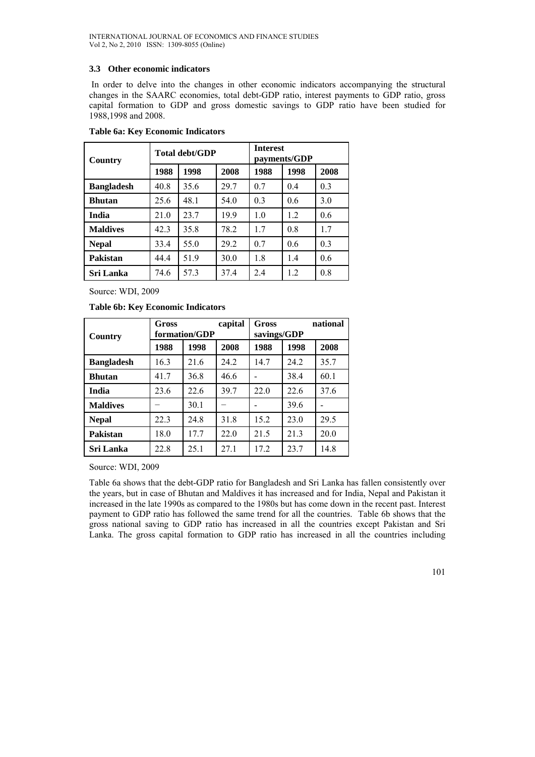## **3.3 Other economic indicators**

In order to delve into the changes in other economic indicators accompanying the structural changes in the SAARC economies, total debt-GDP ratio, interest payments to GDP ratio, gross capital formation to GDP and gross domestic savings to GDP ratio have been studied for 1988,1998 and 2008.

| Country           |      | Total debt/GDP |      | <b>Interest</b><br>payments/GDP |      |                |  |
|-------------------|------|----------------|------|---------------------------------|------|----------------|--|
|                   | 1988 | 1998           | 2008 | 1988                            | 1998 | 2008           |  |
| <b>Bangladesh</b> | 40.8 | 35.6           | 29.7 | 07                              | 04   | 0.3            |  |
| <b>Bhutan</b>     | 25.6 | 48.1           | 54.0 | 0 <sup>3</sup>                  | 0.6  | 3.0            |  |
| India             | 21.0 | 23.7           | 19.9 | 1 <sub>0</sub>                  | 12   | 0.6            |  |
| <b>Maldives</b>   | 42.3 | 35.8           | 78.2 | 17                              | 0.8  | 17             |  |
| <b>Nepal</b>      | 33.4 | 55.0           | 29.2 | 07                              | 0.6  | 0 <sup>3</sup> |  |
| Pakistan          | 44.4 | 519            | 30.0 | 1.8                             | 14   | 0.6            |  |
| Sri Lanka         | 74.6 | 57.3           | 37.4 | 2.4                             | 1.2  | 0.8            |  |

### **Table 6a: Key Economic Indicators**

Source: WDI, 2009

**Table 6b: Key Economic Indicators** 

| Country           | Gross | formation/GDP | capital<br>Gross<br>savings/GDP |      |      | national |  |
|-------------------|-------|---------------|---------------------------------|------|------|----------|--|
|                   | 1988  | 1998          | 2008                            | 1988 | 1998 | 2008     |  |
| <b>Bangladesh</b> | 16.3  | 21.6          | 24.2                            | 14.7 | 24.2 | 35.7     |  |
| <b>Bhutan</b>     | 41.7  | 36.8          | 46.6                            |      | 38.4 | 60.1     |  |
| India             | 23.6  | 22.6          | 39.7                            | 22.0 | 22.6 | 37.6     |  |
| <b>Maldives</b>   |       | 30.1          |                                 |      | 39.6 |          |  |
| <b>Nepal</b>      | 22.3  | 24.8          | 31.8                            | 15.2 | 23.0 | 29.5     |  |
| Pakistan          | 18.0  | 17.7          | 22.0                            | 21.5 | 21.3 | 20.0     |  |
| Sri Lanka         | 22.8  | 25.1          | 27.1                            | 172  | 23.7 | 14.8     |  |

Source: WDI, 2009

Table 6a shows that the debt-GDP ratio for Bangladesh and Sri Lanka has fallen consistently over the years, but in case of Bhutan and Maldives it has increased and for India, Nepal and Pakistan it increased in the late 1990s as compared to the 1980s but has come down in the recent past. Interest payment to GDP ratio has followed the same trend for all the countries. Table 6b shows that the gross national saving to GDP ratio has increased in all the countries except Pakistan and Sri Lanka. The gross capital formation to GDP ratio has increased in all the countries including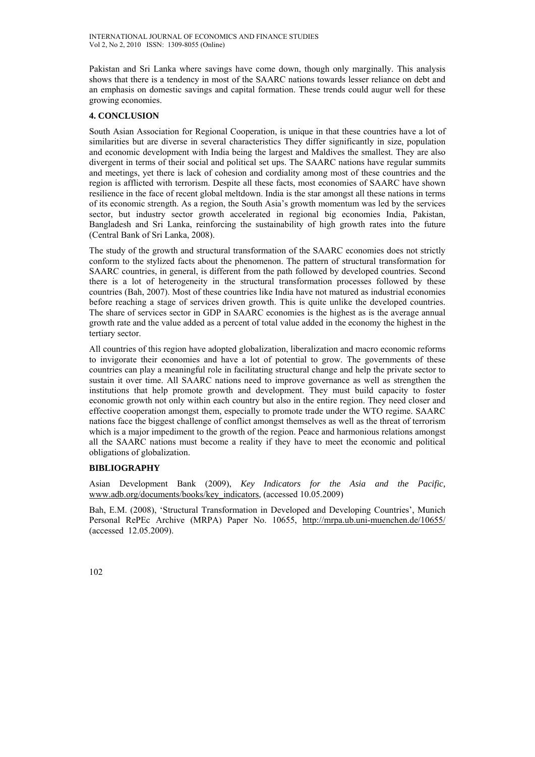Pakistan and Sri Lanka where savings have come down, though only marginally. This analysis shows that there is a tendency in most of the SAARC nations towards lesser reliance on debt and an emphasis on domestic savings and capital formation. These trends could augur well for these growing economies.

# **4. CONCLUSION**

South Asian Association for Regional Cooperation, is unique in that these countries have a lot of similarities but are diverse in several characteristics They differ significantly in size, population and economic development with India being the largest and Maldives the smallest. They are also divergent in terms of their social and political set ups. The SAARC nations have regular summits and meetings, yet there is lack of cohesion and cordiality among most of these countries and the region is afflicted with terrorism. Despite all these facts, most economies of SAARC have shown resilience in the face of recent global meltdown. India is the star amongst all these nations in terms of its economic strength. As a region, the South Asia's growth momentum was led by the services sector, but industry sector growth accelerated in regional big economies India, Pakistan, Bangladesh and Sri Lanka, reinforcing the sustainability of high growth rates into the future (Central Bank of Sri Lanka, 2008).

The study of the growth and structural transformation of the SAARC economies does not strictly conform to the stylized facts about the phenomenon. The pattern of structural transformation for SAARC countries, in general, is different from the path followed by developed countries. Second there is a lot of heterogeneity in the structural transformation processes followed by these countries (Bah, 2007). Most of these countries like India have not matured as industrial economies before reaching a stage of services driven growth. This is quite unlike the developed countries. The share of services sector in GDP in SAARC economies is the highest as is the average annual growth rate and the value added as a percent of total value added in the economy the highest in the tertiary sector.

All countries of this region have adopted globalization, liberalization and macro economic reforms to invigorate their economies and have a lot of potential to grow. The governments of these countries can play a meaningful role in facilitating structural change and help the private sector to sustain it over time. All SAARC nations need to improve governance as well as strengthen the institutions that help promote growth and development. They must build capacity to foster economic growth not only within each country but also in the entire region. They need closer and effective cooperation amongst them, especially to promote trade under the WTO regime. SAARC nations face the biggest challenge of conflict amongst themselves as well as the threat of terrorism which is a major impediment to the growth of the region. Peace and harmonious relations amongst all the SAARC nations must become a reality if they have to meet the economic and political obligations of globalization.

## **BIBLIOGRAPHY**

Asian Development Bank (2009), *Key Indicators for the Asia and the Pacific,* www.adb.org/documents/books/key\_indicators*,* (accessed 10.05.2009)

Bah, E.M. (2008), 'Structural Transformation in Developed and Developing Countries', Munich Personal RePEc Archive (MRPA) Paper No. 10655, http://mrpa.ub.uni-muenchen.de/10655/ (accessed 12.05.2009).